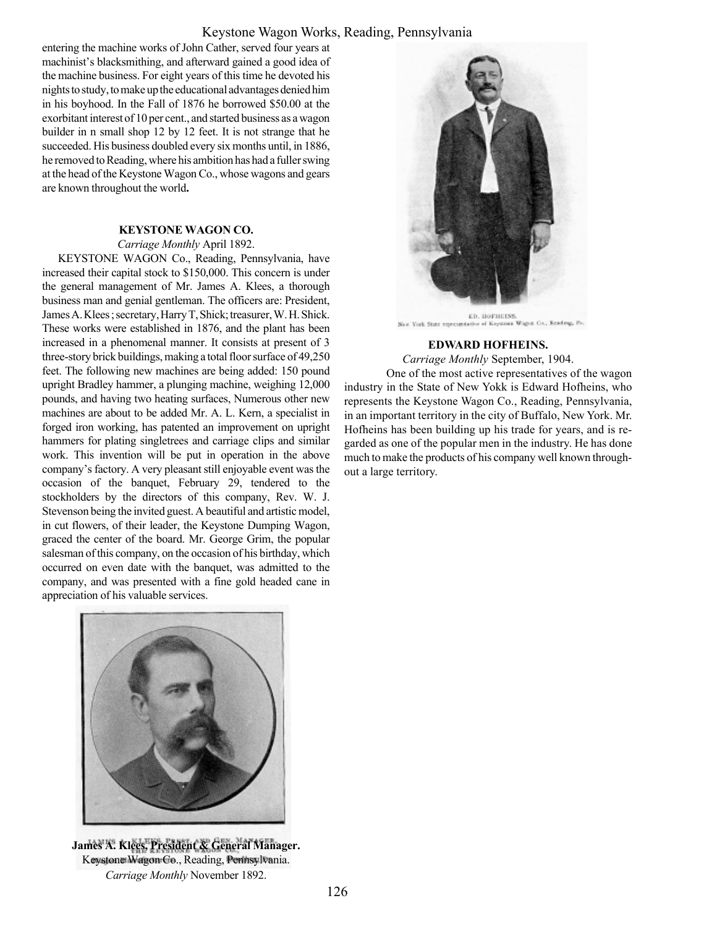## Keystone Wagon Works, Reading, Pennsylvania

entering the machine works of John Cather, served four years at machinist's blacksmithing, and afterward gained a good idea of the machine business. For eight years of this time he devoted his nights to study, to make up the educational advantages denied him in his boyhood. In the Fall of 1876 he borrowed \$50.00 at the exorbitant interest of 10 per cent., and started business as a wagon builder in n small shop 12 by 12 feet. It is not strange that he succeeded. His business doubled every six months until, in 1886, he removed to Reading, where his ambition has had a fuller swing at the head of the Keystone Wagon Co., whose wagons and gears are known throughout the world.

## KEYSTONE WAGON CO.

Carriage Monthly April 1892.

KEYSTONE WAGON Co., Reading, Pennsylvania, have increased their capital stock to \$150,000. This concern is under the general management of Mr. James A. Klees, a thorough business man and genial gentleman. The officers are: President, James A. Klees ; secretary, Harry T, Shick; treasurer, W. H. Shick. These works were established in 1876, and the plant has been increased in a phenomenal manner. It consists at present of 3 three-story brick buildings, making a total floor surface of 49,250 feet. The following new machines are being added: 150 pound upright Bradley hammer, a plunging machine, weighing 12,000 pounds, and having two heating surfaces, Numerous other new machines are about to be added Mr. A. L. Kern, a specialist in forged iron working, has patented an improvement on upright hammers for plating singletrees and carriage clips and similar work. This invention will be put in operation in the above company's factory. A very pleasant still enjoyable event was the occasion of the banquet, February 29, tendered to the stockholders by the directors of this company, Rev. W. J. Stevenson being the invited guest. A beautiful and artistic model, in cut flowers, of their leader, the Keystone Dumping Wagon, graced the center of the board. Mr. George Grim, the popular salesman of this company, on the occasion of his birthday, which occurred on even date with the banquet, was admitted to the company, and was presented with a fine gold headed cane in appreciation of his valuable services.



James A. Klees, President & General Manager. Keystone Wagon Co., Reading, Pennsylvania. Carriage Monthly November 1892.



a Wagon Co., Rending, Pr. New York State representati

## EDWARD HOFHEINS.

Carriage Monthly September, 1904.

One of the most active representatives of the wagon industry in the State of New Yokk is Edward Hofheins, who represents the Keystone Wagon Co., Reading, Pennsylvania, in an important territory in the city of Buffalo, New York. Mr. Hofheins has been building up his trade for years, and is regarded as one of the popular men in the industry. He has done much to make the products of his company well known throughout a large territory.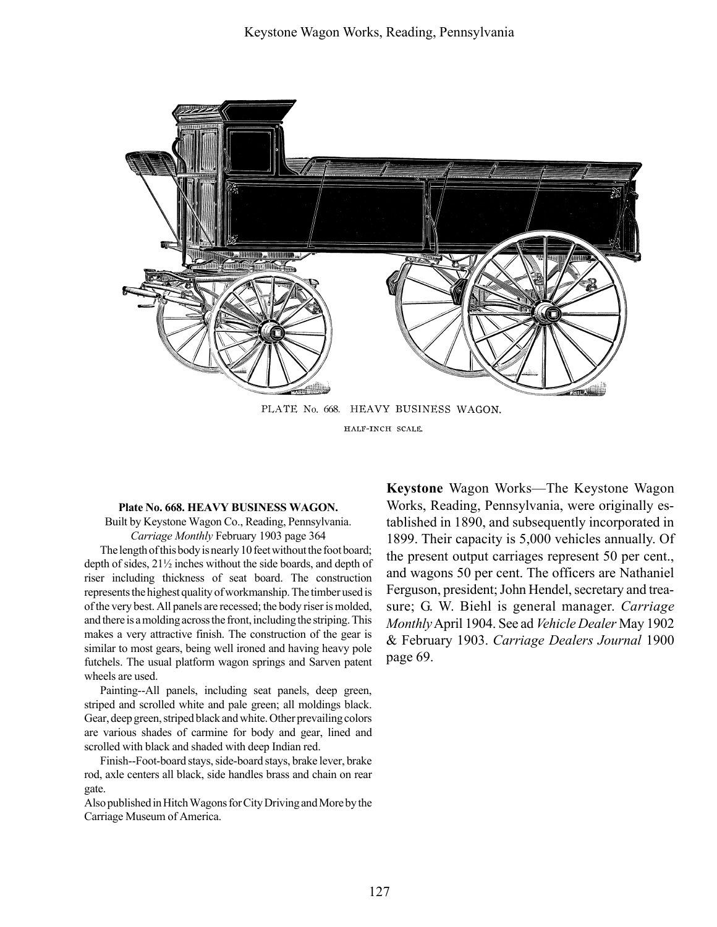

HALF-INCH SCALE

## Plate No. 668. HEAVY BUSINESS WAGON.

Built by Keystone Wagon Co., Reading, Pennsylvania. Carriage Monthly February 1903 page 364

The length of this body is nearly 10 feet without the foot board; depth of sides, 21½ inches without the side boards, and depth of riser including thickness of seat board. The construction represents the highest quality of workmanship. The timber used is of the very best. All panels are recessed; the body riser is molded, and there is a molding across the front, including the striping. This makes a very attractive finish. The construction of the gear is similar to most gears, being well ironed and having heavy pole futchels. The usual platform wagon springs and Sarven patent wheels are used.

Painting--All panels, including seat panels, deep green, striped and scrolled white and pale green; all moldings black. Gear, deep green, striped black and white. Other prevailing colors are various shades of carmine for body and gear, lined and scrolled with black and shaded with deep Indian red.

Finish--Foot-board stays, side-board stays, brake lever, brake rod, axle centers all black, side handles brass and chain on rear gate.

Also published in Hitch Wagons for City Driving and More by the Carriage Museum of America.

Keystone Wagon Works-The Keystone Wagon Works, Reading, Pennsylvania, were originally established in 1890, and subsequently incorporated in 1899. Their capacity is 5,000 vehicles annually. Of the present output carriages represent 50 per cent., and wagons 50 per cent. The officers are Nathaniel Ferguson, president; John Hendel, secretary and treasure; G. W. Biehl is general manager. Carriage MonthlyApril 1904. See ad Vehicle Dealer May 1902 & February 1903. Carriage Dealers Journal 1900 page 69.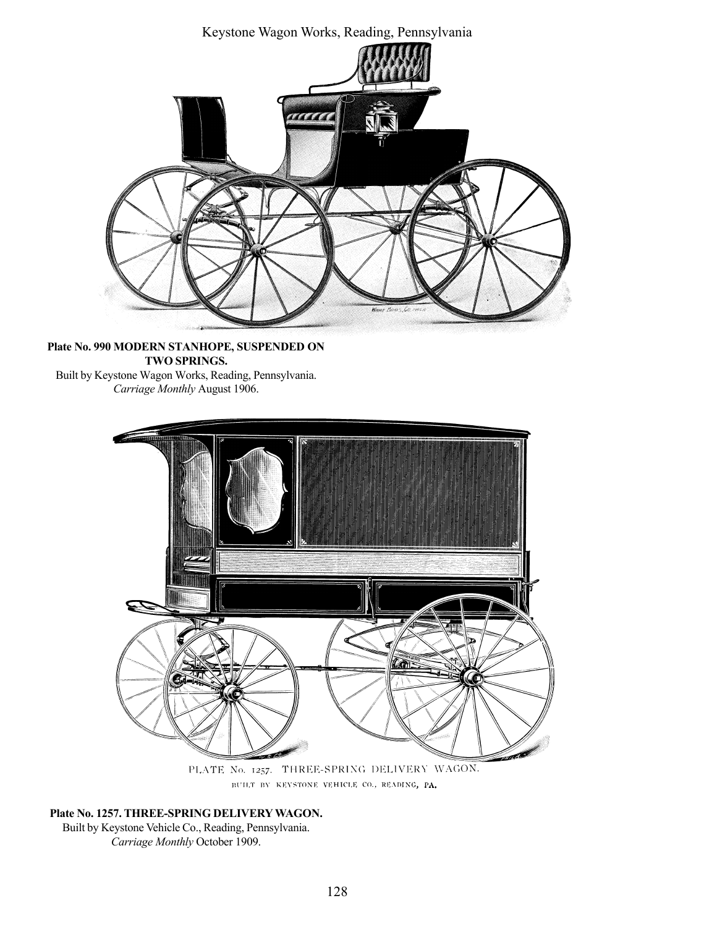Keystone Wagon Works, Reading, Pennsylvania TA KA

Plate No. 990 MODERN STANHOPE, SUSPENDED ON TWO SPRINGS. Built by Keystone Wagon Works, Reading, Pennsylvania. Carriage Monthly August 1906.



PLATE No. 1257. THREE-SPRING DELIVERY WAGON. BUILT BY KEYSTONE VEHICLE CO., READING, PA.

Plate No. 1257. THREE-SPRING DELIVERY WAGON. Built by Keystone Vehicle Co., Reading, Pennsylvania. Carriage Monthly October 1909.